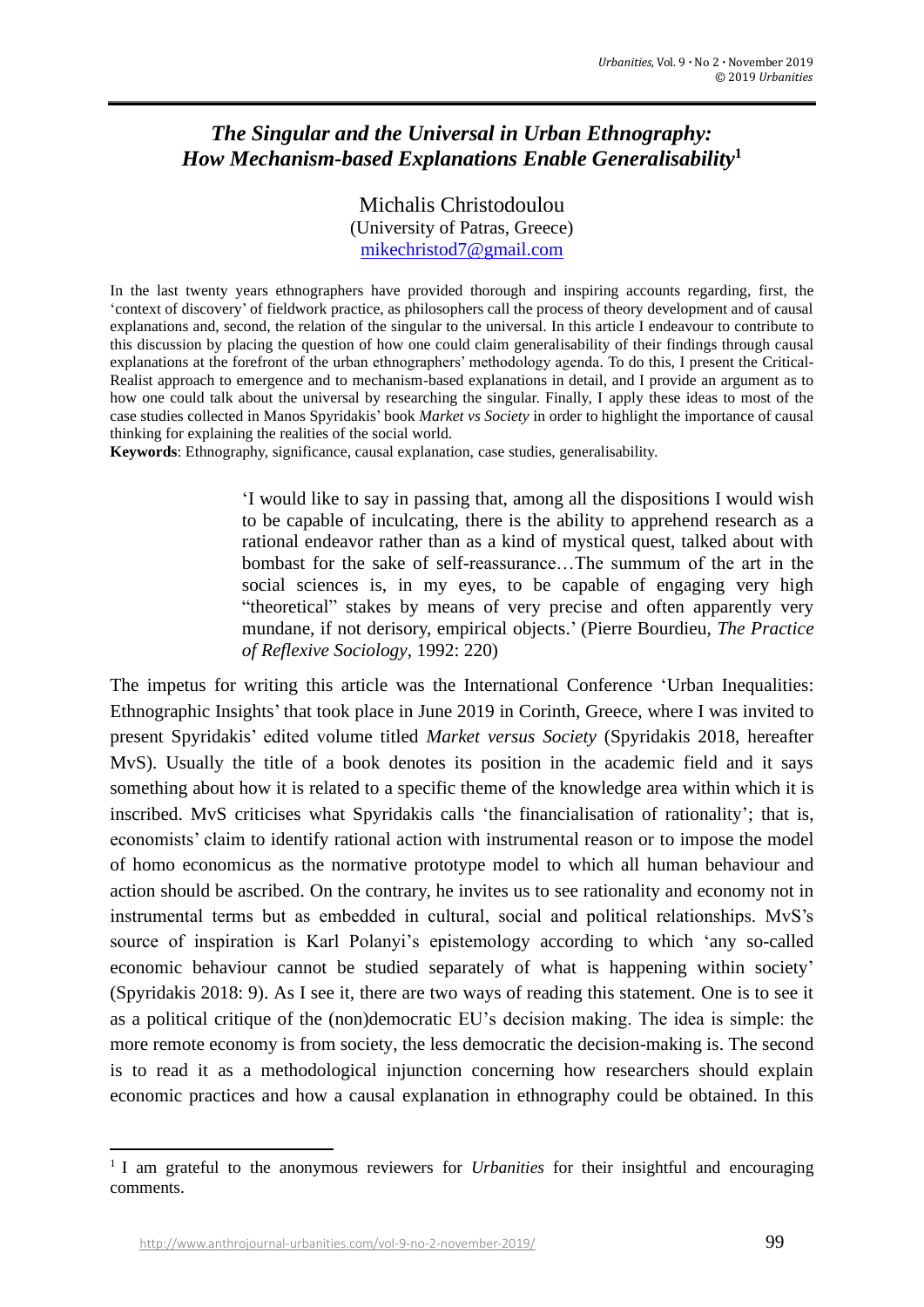# *The Singular and the Universal in Urban Ethnography: How Mechanism-based Explanations Enable Generalisability***<sup>1</sup>**

Michalis Christodoulou (University of Patras, Greece) [mikechristod7@gmail.com](mailto:mikechristod7@gmail.com)

In the last twenty years ethnographers have provided thorough and inspiring accounts regarding, first, the 'context of discovery' of fieldwork practice, as philosophers call the process of theory development and of causal explanations and, second, the relation of the singular to the universal. In this article I endeavour to contribute to this discussion by placing the question of how one could claim generalisability of their findings through causal explanations at the forefront of the urban ethnographers' methodology agenda. To do this, I present the Critical-Realist approach to emergence and to mechanism-based explanations in detail, and I provide an argument as to how one could talk about the universal by researching the singular. Finally, I apply these ideas to most of the case studies collected in Manos Spyridakis' book *Market vs Society* in order to highlight the importance of causal thinking for explaining the realities of the social world.

**Keywords**: Ethnography, significance, causal explanation, case studies, generalisability.

'I would like to say in passing that, among all the dispositions I would wish to be capable of inculcating, there is the ability to apprehend research as a rational endeavor rather than as a kind of mystical quest, talked about with bombast for the sake of self-reassurance…The summum of the art in the social sciences is, in my eyes, to be capable of engaging very high "theoretical" stakes by means of very precise and often apparently very mundane, if not derisory, empirical objects.' (Pierre Bourdieu, *The Practice of Reflexive Sociology*, 1992: 220)

The impetus for writing this article was the International Conference 'Urban Inequalities: Ethnographic Insights' that took place in June 2019 in Corinth, Greece, where I was invited to present Spyridakis' edited volume titled *Market versus Society* (Spyridakis 2018, hereafter MvS). Usually the title of a book denotes its position in the academic field and it says something about how it is related to a specific theme of the knowledge area within which it is inscribed. MvS criticises what Spyridakis calls 'the financialisation of rationality'; that is, economists' claim to identify rational action with instrumental reason or to impose the model of homo economicus as the normative prototype model to which all human behaviour and action should be ascribed. On the contrary, he invites us to see rationality and economy not in instrumental terms but as embedded in cultural, social and political relationships. MvS's source of inspiration is Karl Polanyi's epistemology according to which 'any so-called economic behaviour cannot be studied separately of what is happening within society' (Spyridakis 2018: 9). As I see it, there are two ways of reading this statement. One is to see it as a political critique of the (non)democratic EU's decision making. The idea is simple: the more remote economy is from society, the less democratic the decision-making is. The second is to read it as a methodological injunction concerning how researchers should explain economic practices and how a causal explanation in ethnography could be obtained. In this

<sup>&</sup>lt;sup>1</sup> I am grateful to the anonymous reviewers for *Urbanities* for their insightful and encouraging comments.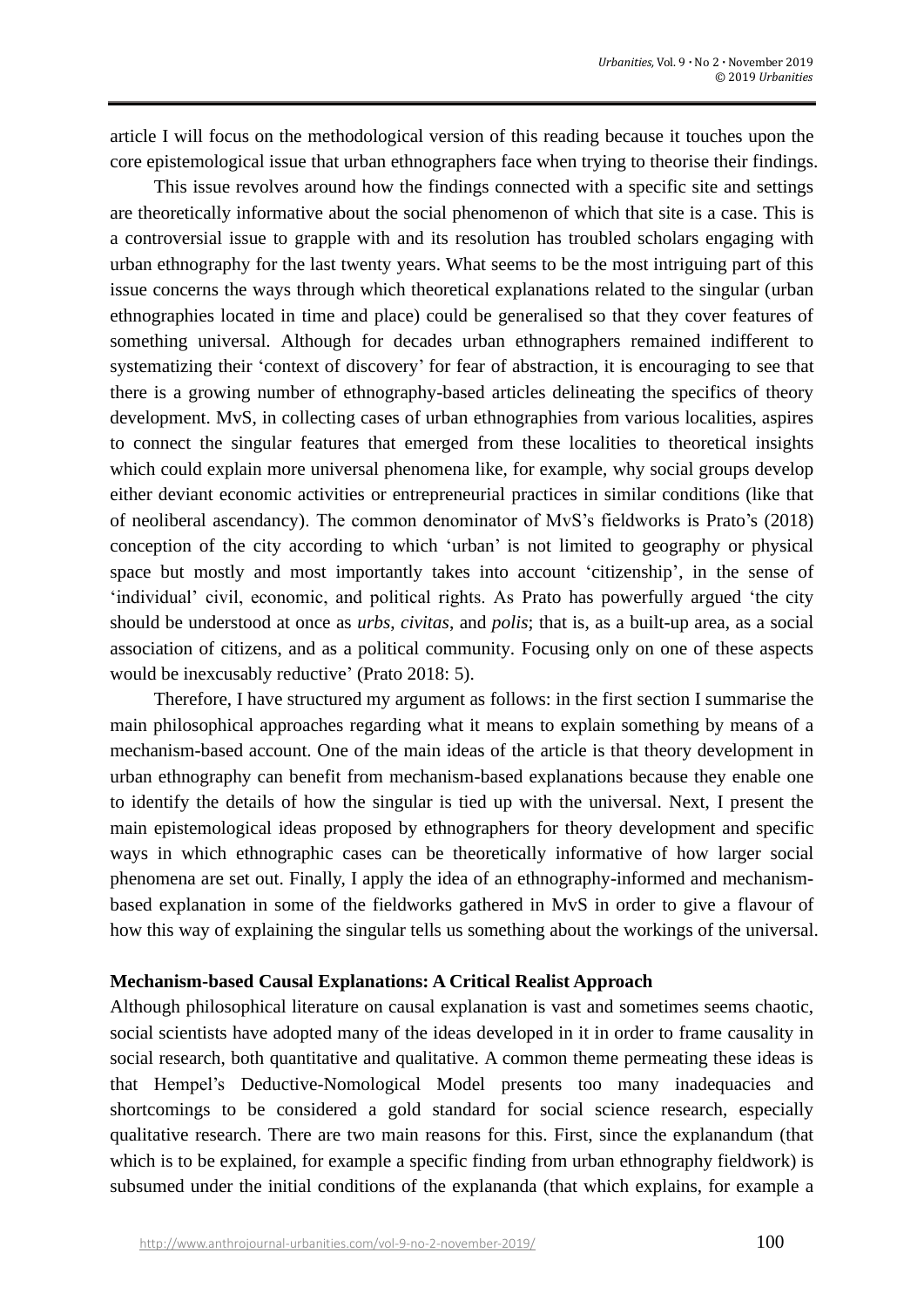article I will focus on the methodological version of this reading because it touches upon the core epistemological issue that urban ethnographers face when trying to theorise their findings.

This issue revolves around how the findings connected with a specific site and settings are theoretically informative about the social phenomenon of which that site is a case. This is a controversial issue to grapple with and its resolution has troubled scholars engaging with urban ethnography for the last twenty years. What seems to be the most intriguing part of this issue concerns the ways through which theoretical explanations related to the singular (urban ethnographies located in time and place) could be generalised so that they cover features of something universal. Although for decades urban ethnographers remained indifferent to systematizing their 'context of discovery' for fear of abstraction, it is encouraging to see that there is a growing number of ethnography-based articles delineating the specifics of theory development. MvS, in collecting cases of urban ethnographies from various localities, aspires to connect the singular features that emerged from these localities to theoretical insights which could explain more universal phenomena like, for example, why social groups develop either deviant economic activities or entrepreneurial practices in similar conditions (like that of neoliberal ascendancy). The common denominator of MvS's fieldworks is Prato's (2018) conception of the city according to which 'urban' is not limited to geography or physical space but mostly and most importantly takes into account 'citizenship', in the sense of 'individual' civil, economic, and political rights. As Prato has powerfully argued 'the city should be understood at once as *urbs*, *civitas*, and *polis*; that is, as a built-up area, as a social association of citizens, and as a political community. Focusing only on one of these aspects would be inexcusably reductive' (Prato 2018: 5).

Therefore, I have structured my argument as follows: in the first section I summarise the main philosophical approaches regarding what it means to explain something by means of a mechanism-based account. One of the main ideas of the article is that theory development in urban ethnography can benefit from mechanism-based explanations because they enable one to identify the details of how the singular is tied up with the universal. Next, I present the main epistemological ideas proposed by ethnographers for theory development and specific ways in which ethnographic cases can be theoretically informative of how larger social phenomena are set out. Finally, I apply the idea of an ethnography-informed and mechanismbased explanation in some of the fieldworks gathered in MvS in order to give a flavour of how this way of explaining the singular tells us something about the workings of the universal.

## **Mechanism-based Causal Explanations: A Critical Realist Approach**

Although philosophical literature on causal explanation is vast and sometimes seems chaotic, social scientists have adopted many of the ideas developed in it in order to frame causality in social research, both quantitative and qualitative. A common theme permeating these ideas is that Hempel's Deductive-Nomological Model presents too many inadequacies and shortcomings to be considered a gold standard for social science research, especially qualitative research. There are two main reasons for this. First, since the explanandum (that which is to be explained, for example a specific finding from urban ethnography fieldwork) is subsumed under the initial conditions of the explananda (that which explains, for example a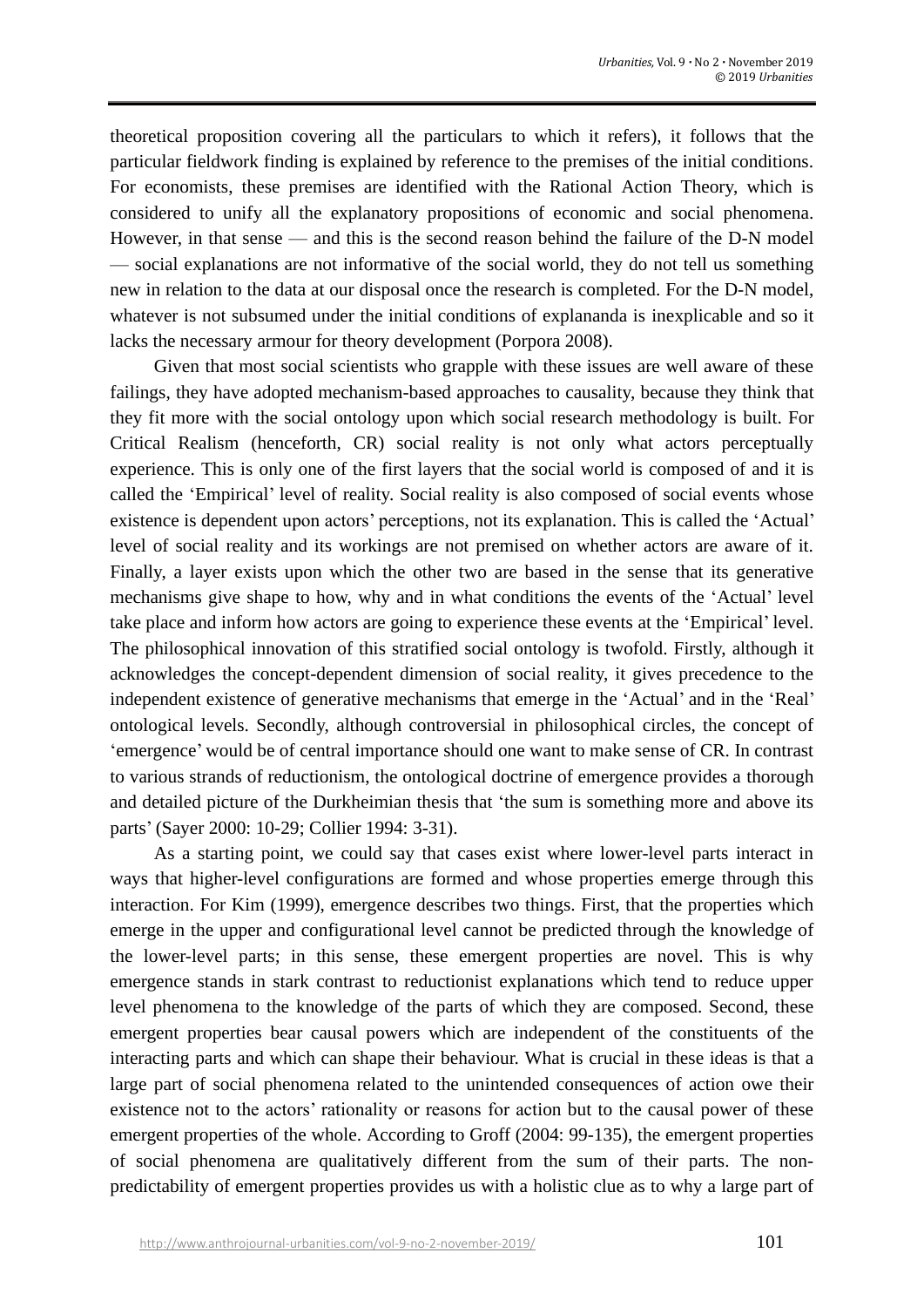theoretical proposition covering all the particulars to which it refers), it follows that the particular fieldwork finding is explained by reference to the premises of the initial conditions. For economists, these premises are identified with the Rational Action Theory, which is considered to unify all the explanatory propositions of economic and social phenomena. However, in that sense — and this is the second reason behind the failure of the D-N model — social explanations are not informative of the social world, they do not tell us something new in relation to the data at our disposal once the research is completed. For the D-N model, whatever is not subsumed under the initial conditions of explananda is inexplicable and so it lacks the necessary armour for theory development (Porpora 2008).

Given that most social scientists who grapple with these issues are well aware of these failings, they have adopted mechanism-based approaches to causality, because they think that they fit more with the social ontology upon which social research methodology is built. For Critical Realism (henceforth, CR) social reality is not only what actors perceptually experience. This is only one of the first layers that the social world is composed of and it is called the 'Empirical' level of reality. Social reality is also composed of social events whose existence is dependent upon actors' perceptions, not its explanation. This is called the 'Actual' level of social reality and its workings are not premised on whether actors are aware of it. Finally, a layer exists upon which the other two are based in the sense that its generative mechanisms give shape to how, why and in what conditions the events of the 'Actual' level take place and inform how actors are going to experience these events at the 'Empirical' level. The philosophical innovation of this stratified social ontology is twofold. Firstly, although it acknowledges the concept-dependent dimension of social reality, it gives precedence to the independent existence of generative mechanisms that emerge in the 'Actual' and in the 'Real' ontological levels. Secondly, although controversial in philosophical circles, the concept of 'emergence' would be of central importance should one want to make sense of CR. In contrast to various strands of reductionism, the ontological doctrine of emergence provides a thorough and detailed picture of the Durkheimian thesis that 'the sum is something more and above its parts' (Sayer 2000: 10-29; Collier 1994: 3-31).

As a starting point, we could say that cases exist where lower-level parts interact in ways that higher-level configurations are formed and whose properties emerge through this interaction. For Kim (1999), emergence describes two things. First, that the properties which emerge in the upper and configurational level cannot be predicted through the knowledge of the lower-level parts; in this sense, these emergent properties are novel. This is why emergence stands in stark contrast to reductionist explanations which tend to reduce upper level phenomena to the knowledge of the parts of which they are composed. Second, these emergent properties bear causal powers which are independent of the constituents of the interacting parts and which can shape their behaviour. What is crucial in these ideas is that a large part of social phenomena related to the unintended consequences of action owe their existence not to the actors' rationality or reasons for action but to the causal power of these emergent properties of the whole. According to Groff (2004: 99-135), the emergent properties of social phenomena are qualitatively different from the sum of their parts. The nonpredictability of emergent properties provides us with a holistic clue as to why a large part of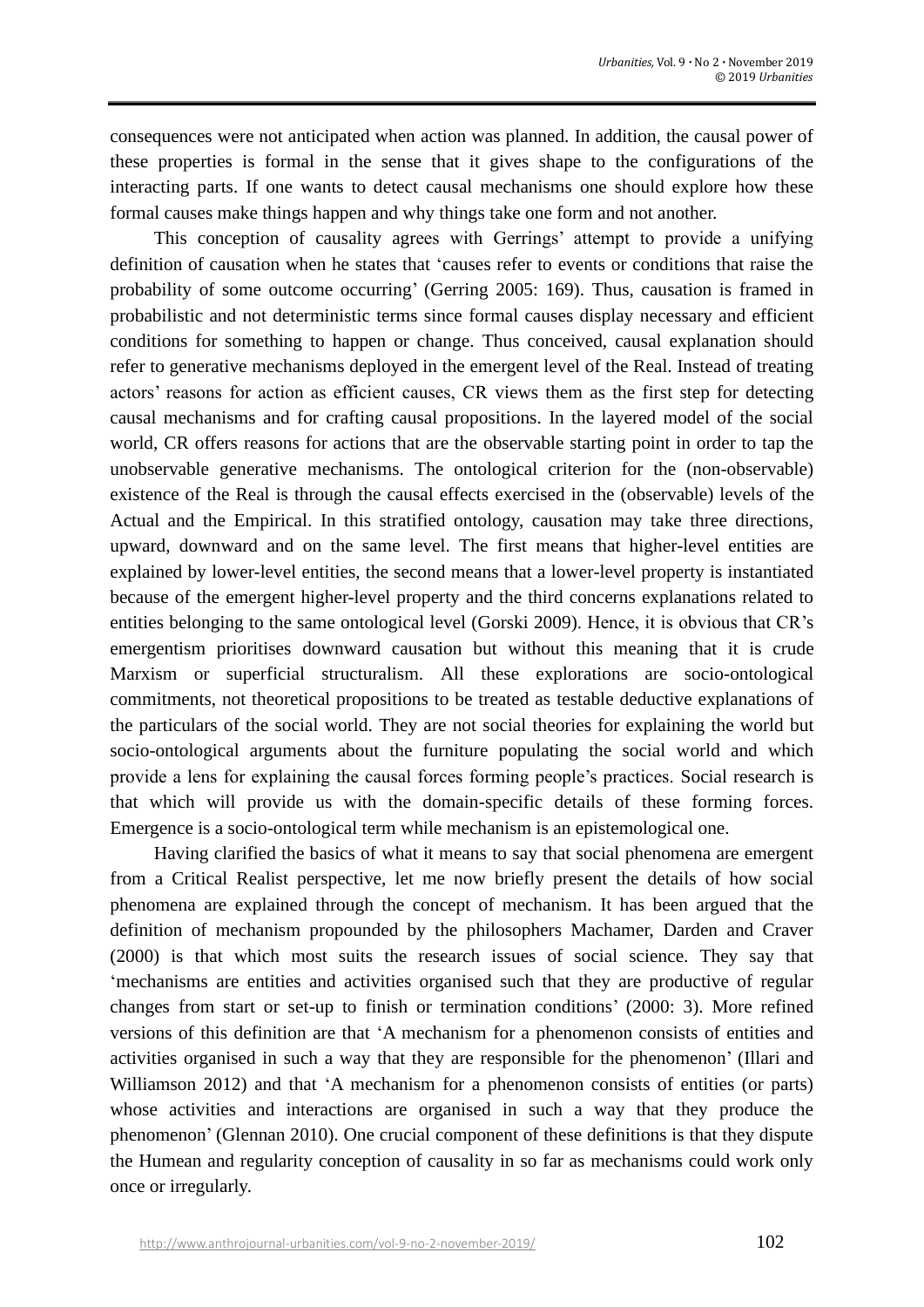consequences were not anticipated when action was planned. In addition, the causal power of these properties is formal in the sense that it gives shape to the configurations of the interacting parts. If one wants to detect causal mechanisms one should explore how these formal causes make things happen and why things take one form and not another.

This conception of causality agrees with Gerrings' attempt to provide a unifying definition of causation when he states that 'causes refer to events or conditions that raise the probability of some outcome occurring' (Gerring 2005: 169). Thus, causation is framed in probabilistic and not deterministic terms since formal causes display necessary and efficient conditions for something to happen or change. Thus conceived, causal explanation should refer to generative mechanisms deployed in the emergent level of the Real. Instead of treating actors' reasons for action as efficient causes, CR views them as the first step for detecting causal mechanisms and for crafting causal propositions. In the layered model of the social world, CR offers reasons for actions that are the observable starting point in order to tap the unobservable generative mechanisms. The ontological criterion for the (non-observable) existence of the Real is through the causal effects exercised in the (observable) levels of the Actual and the Empirical. In this stratified ontology, causation may take three directions, upward, downward and on the same level. The first means that higher-level entities are explained by lower-level entities, the second means that a lower-level property is instantiated because of the emergent higher-level property and the third concerns explanations related to entities belonging to the same ontological level (Gorski 2009). Hence, it is obvious that CR's emergentism prioritises downward causation but without this meaning that it is crude Marxism or superficial structuralism. All these explorations are socio-ontological commitments, not theoretical propositions to be treated as testable deductive explanations of the particulars of the social world. They are not social theories for explaining the world but socio-ontological arguments about the furniture populating the social world and which provide a lens for explaining the causal forces forming people's practices. Social research is that which will provide us with the domain-specific details of these forming forces. Emergence is a socio-ontological term while mechanism is an epistemological one.

Having clarified the basics of what it means to say that social phenomena are emergent from a Critical Realist perspective, let me now briefly present the details of how social phenomena are explained through the concept of mechanism. It has been argued that the definition of mechanism propounded by the philosophers Machamer, Darden and Craver (2000) is that which most suits the research issues of social science. They say that 'mechanisms are entities and activities organised such that they are productive of regular changes from start or set-up to finish or termination conditions' (2000: 3). More refined versions of this definition are that 'A mechanism for a phenomenon consists of entities and activities organised in such a way that they are responsible for the phenomenon' (Illari and Williamson 2012) and that 'A mechanism for a phenomenon consists of entities (or parts) whose activities and interactions are organised in such a way that they produce the phenomenon' (Glennan 2010). One crucial component of these definitions is that they dispute the Humean and regularity conception of causality in so far as mechanisms could work only once or irregularly.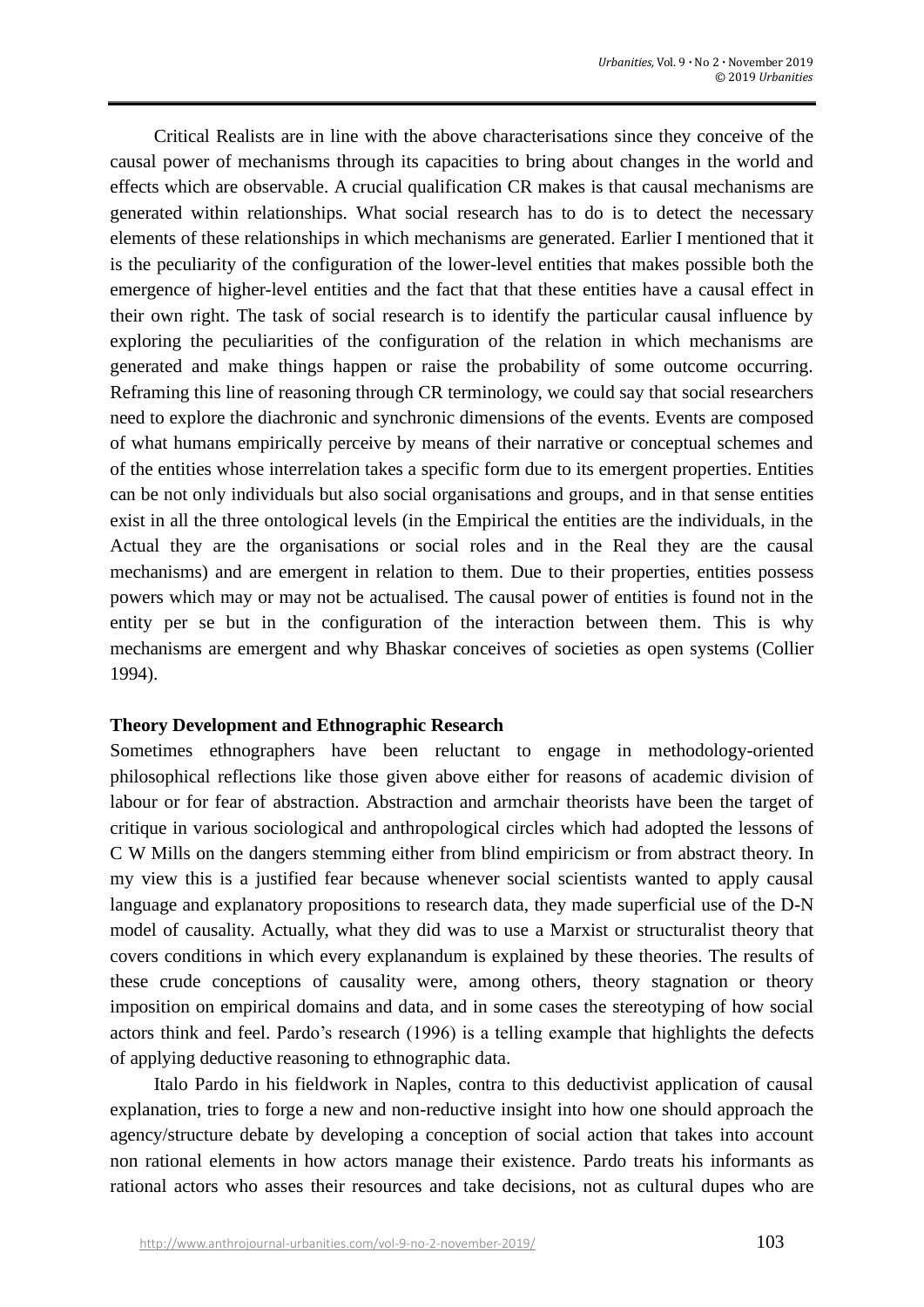Critical Realists are in line with the above characterisations since they conceive of the causal power of mechanisms through its capacities to bring about changes in the world and effects which are observable. A crucial qualification CR makes is that causal mechanisms are generated within relationships. What social research has to do is to detect the necessary elements of these relationships in which mechanisms are generated. Earlier I mentioned that it is the peculiarity of the configuration of the lower-level entities that makes possible both the emergence of higher-level entities and the fact that that these entities have a causal effect in their own right. The task of social research is to identify the particular causal influence by exploring the peculiarities of the configuration of the relation in which mechanisms are generated and make things happen or raise the probability of some outcome occurring. Reframing this line of reasoning through CR terminology, we could say that social researchers need to explore the diachronic and synchronic dimensions of the events. Events are composed of what humans empirically perceive by means of their narrative or conceptual schemes and of the entities whose interrelation takes a specific form due to its emergent properties. Entities can be not only individuals but also social organisations and groups, and in that sense entities exist in all the three ontological levels (in the Empirical the entities are the individuals, in the Actual they are the organisations or social roles and in the Real they are the causal mechanisms) and are emergent in relation to them. Due to their properties, entities possess powers which may or may not be actualised. The causal power of entities is found not in the entity per se but in the configuration of the interaction between them. This is why mechanisms are emergent and why Bhaskar conceives of societies as open systems (Collier 1994).

## **Theory Development and Ethnographic Research**

Sometimes ethnographers have been reluctant to engage in methodology-oriented philosophical reflections like those given above either for reasons of academic division of labour or for fear of abstraction. Abstraction and armchair theorists have been the target of critique in various sociological and anthropological circles which had adopted the lessons of C W Mills on the dangers stemming either from blind empiricism or from abstract theory. In my view this is a justified fear because whenever social scientists wanted to apply causal language and explanatory propositions to research data, they made superficial use of the D-N model of causality. Actually, what they did was to use a Marxist or structuralist theory that covers conditions in which every explanandum is explained by these theories. The results of these crude conceptions of causality were, among others, theory stagnation or theory imposition on empirical domains and data, and in some cases the stereotyping of how social actors think and feel. Pardo's research (1996) is a telling example that highlights the defects of applying deductive reasoning to ethnographic data.

Italo Pardo in his fieldwork in Naples, contra to this deductivist application of causal explanation, tries to forge a new and non-reductive insight into how one should approach the agency/structure debate by developing a conception of social action that takes into account non rational elements in how actors manage their existence. Pardo treats his informants as rational actors who asses their resources and take decisions, not as cultural dupes who are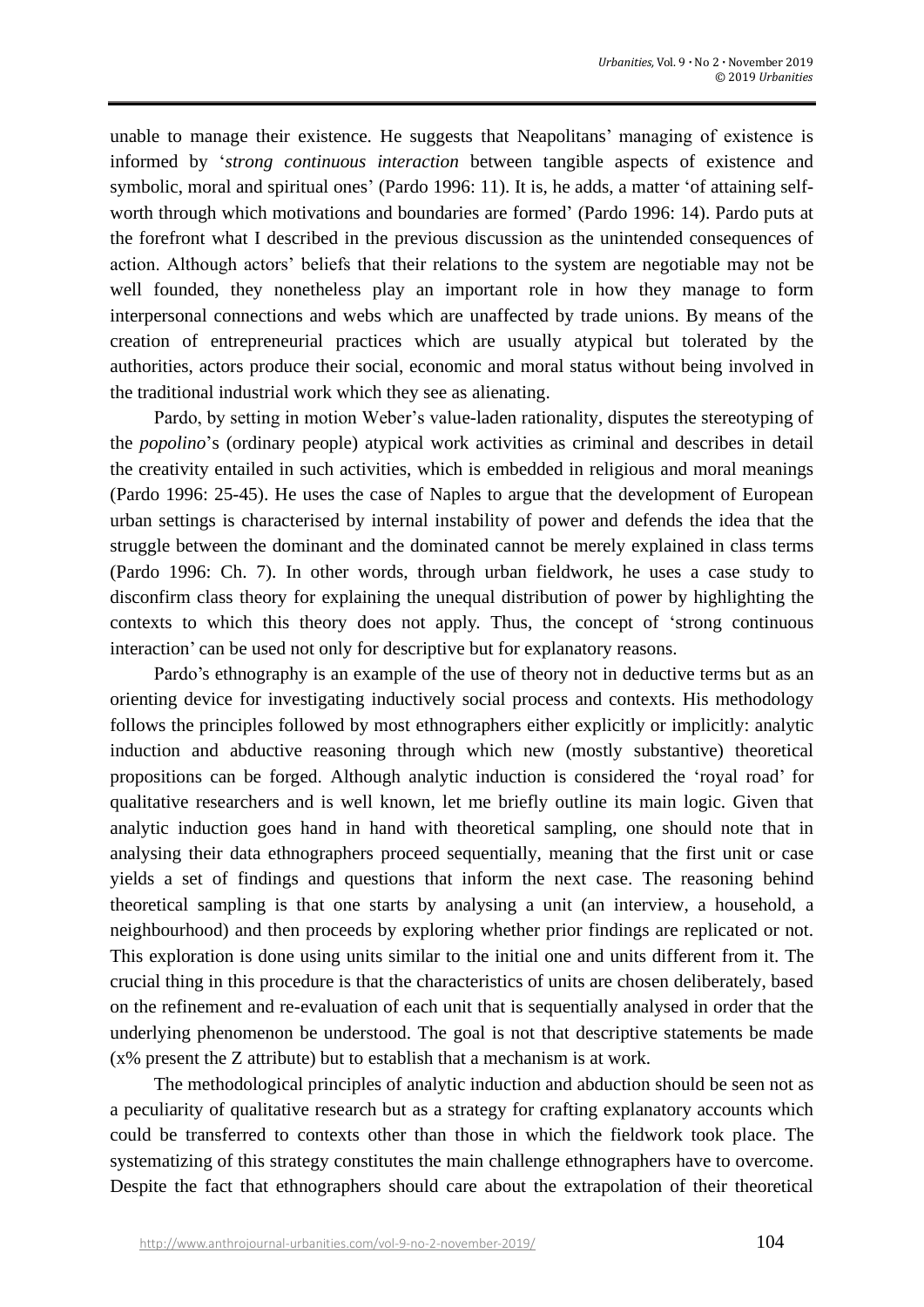unable to manage their existence. He suggests that Neapolitans' managing of existence is informed by '*strong continuous interaction* between tangible aspects of existence and symbolic, moral and spiritual ones' (Pardo 1996: 11). It is, he adds, a matter 'of attaining selfworth through which motivations and boundaries are formed' (Pardo 1996: 14). Pardo puts at the forefront what I described in the previous discussion as the unintended consequences of action. Although actors' beliefs that their relations to the system are negotiable may not be well founded, they nonetheless play an important role in how they manage to form interpersonal connections and webs which are unaffected by trade unions. By means of the creation of entrepreneurial practices which are usually atypical but tolerated by the authorities, actors produce their social, economic and moral status without being involved in the traditional industrial work which they see as alienating.

Pardo, by setting in motion Weber's value-laden rationality, disputes the stereotyping of the *popolino*'s (ordinary people) atypical work activities as criminal and describes in detail the creativity entailed in such activities, which is embedded in religious and moral meanings (Pardo 1996: 25-45). He uses the case of Naples to argue that the development of European urban settings is characterised by internal instability of power and defends the idea that the struggle between the dominant and the dominated cannot be merely explained in class terms (Pardo 1996: Ch. 7). In other words, through urban fieldwork, he uses a case study to disconfirm class theory for explaining the unequal distribution of power by highlighting the contexts to which this theory does not apply. Thus, the concept of 'strong continuous interaction' can be used not only for descriptive but for explanatory reasons.

Pardo's ethnography is an example of the use of theory not in deductive terms but as an orienting device for investigating inductively social process and contexts. His methodology follows the principles followed by most ethnographers either explicitly or implicitly: analytic induction and abductive reasoning through which new (mostly substantive) theoretical propositions can be forged. Although analytic induction is considered the 'royal road' for qualitative researchers and is well known, let me briefly outline its main logic. Given that analytic induction goes hand in hand with theoretical sampling, one should note that in analysing their data ethnographers proceed sequentially, meaning that the first unit or case yields a set of findings and questions that inform the next case. The reasoning behind theoretical sampling is that one starts by analysing a unit (an interview, a household, a neighbourhood) and then proceeds by exploring whether prior findings are replicated or not. This exploration is done using units similar to the initial one and units different from it. The crucial thing in this procedure is that the characteristics of units are chosen deliberately, based on the refinement and re-evaluation of each unit that is sequentially analysed in order that the underlying phenomenon be understood. The goal is not that descriptive statements be made (x% present the Z attribute) but to establish that a mechanism is at work.

The methodological principles of analytic induction and abduction should be seen not as a peculiarity of qualitative research but as a strategy for crafting explanatory accounts which could be transferred to contexts other than those in which the fieldwork took place. The systematizing of this strategy constitutes the main challenge ethnographers have to overcome. Despite the fact that ethnographers should care about the extrapolation of their theoretical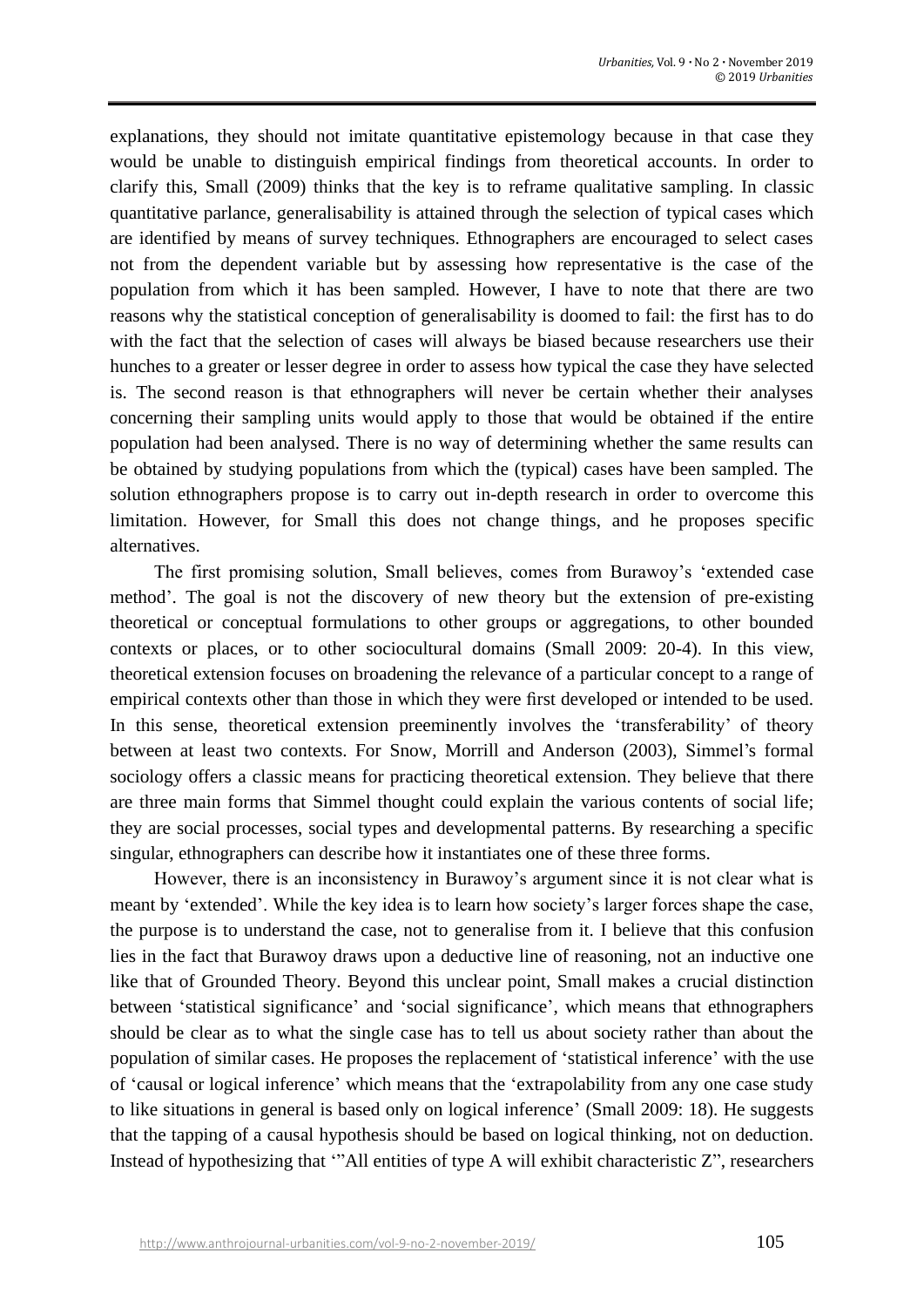explanations, they should not imitate quantitative epistemology because in that case they would be unable to distinguish empirical findings from theoretical accounts. In order to clarify this, Small (2009) thinks that the key is to reframe qualitative sampling. In classic quantitative parlance, generalisability is attained through the selection of typical cases which are identified by means of survey techniques. Ethnographers are encouraged to select cases not from the dependent variable but by assessing how representative is the case of the population from which it has been sampled. However, I have to note that there are two reasons why the statistical conception of generalisability is doomed to fail: the first has to do with the fact that the selection of cases will always be biased because researchers use their hunches to a greater or lesser degree in order to assess how typical the case they have selected is. The second reason is that ethnographers will never be certain whether their analyses concerning their sampling units would apply to those that would be obtained if the entire population had been analysed. There is no way of determining whether the same results can be obtained by studying populations from which the (typical) cases have been sampled. The solution ethnographers propose is to carry out in-depth research in order to overcome this limitation. However, for Small this does not change things, and he proposes specific alternatives.

The first promising solution, Small believes, comes from Burawoy's 'extended case method'. The goal is not the discovery of new theory but the extension of pre-existing theoretical or conceptual formulations to other groups or aggregations, to other bounded contexts or places, or to other sociocultural domains (Small 2009: 20-4). In this view, theoretical extension focuses on broadening the relevance of a particular concept to a range of empirical contexts other than those in which they were first developed or intended to be used. In this sense, theoretical extension preeminently involves the 'transferability' of theory between at least two contexts. For Snow, Morrill and Anderson (2003), Simmel's formal sociology offers a classic means for practicing theoretical extension. They believe that there are three main forms that Simmel thought could explain the various contents of social life; they are social processes, social types and developmental patterns. By researching a specific singular, ethnographers can describe how it instantiates one of these three forms.

However, there is an inconsistency in Burawoy's argument since it is not clear what is meant by 'extended'. While the key idea is to learn how society's larger forces shape the case, the purpose is to understand the case, not to generalise from it. I believe that this confusion lies in the fact that Burawoy draws upon a deductive line of reasoning, not an inductive one like that of Grounded Theory. Beyond this unclear point, Small makes a crucial distinction between 'statistical significance' and 'social significance', which means that ethnographers should be clear as to what the single case has to tell us about society rather than about the population of similar cases. He proposes the replacement of 'statistical inference' with the use of 'causal or logical inference' which means that the 'extrapolability from any one case study to like situations in general is based only on logical inference' (Small 2009: 18). He suggests that the tapping of a causal hypothesis should be based on logical thinking, not on deduction. Instead of hypothesizing that '"All entities of type A will exhibit characteristic Z", researchers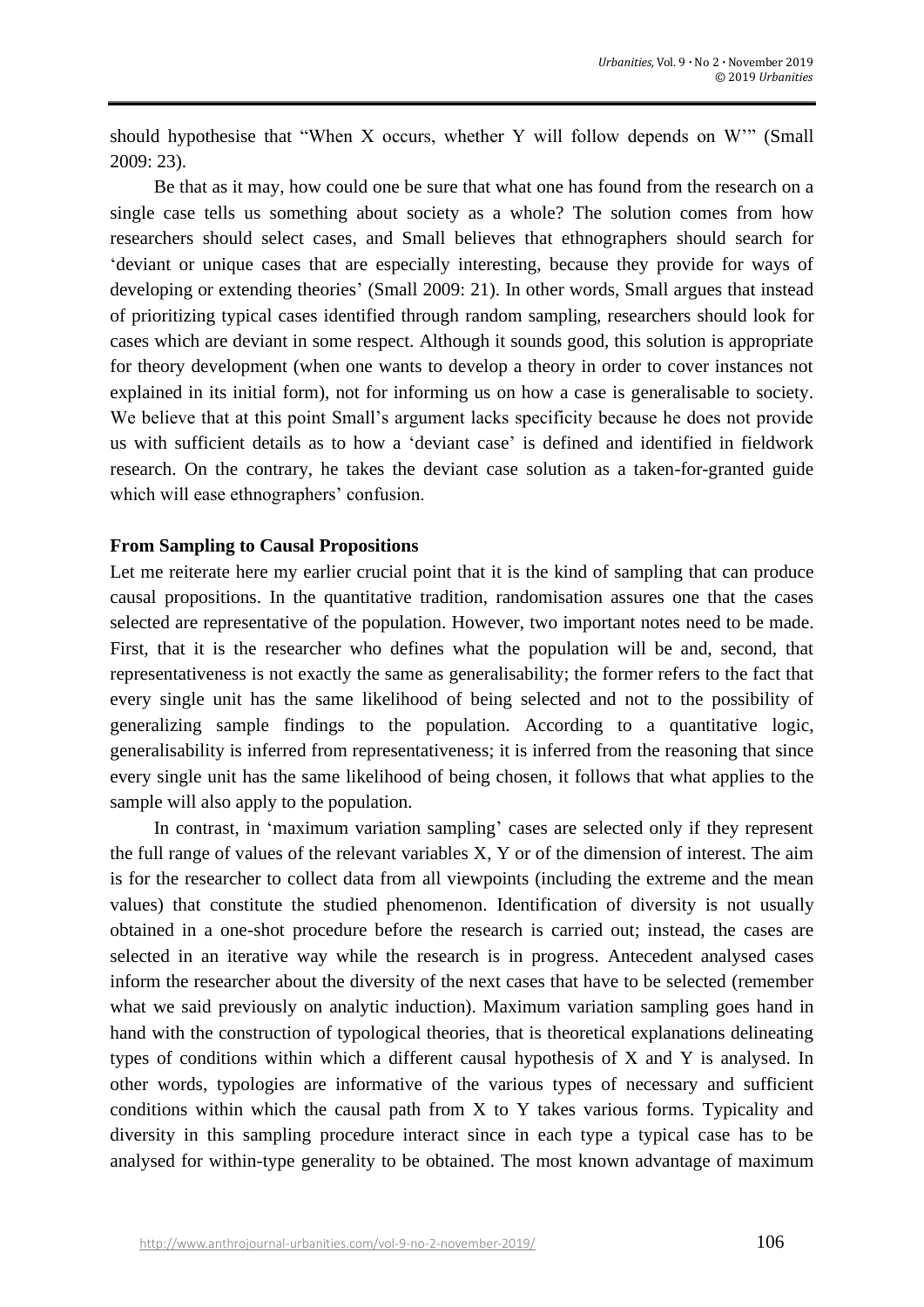should hypothesise that "When X occurs, whether Y will follow depends on W'" (Small 2009: 23).

Be that as it may, how could one be sure that what one has found from the research on a single case tells us something about society as a whole? The solution comes from how researchers should select cases, and Small believes that ethnographers should search for 'deviant or unique cases that are especially interesting, because they provide for ways of developing or extending theories' (Small 2009: 21). In other words, Small argues that instead of prioritizing typical cases identified through random sampling, researchers should look for cases which are deviant in some respect. Although it sounds good, this solution is appropriate for theory development (when one wants to develop a theory in order to cover instances not explained in its initial form), not for informing us on how a case is generalisable to society. We believe that at this point Small's argument lacks specificity because he does not provide us with sufficient details as to how a 'deviant case' is defined and identified in fieldwork research. On the contrary, he takes the deviant case solution as a taken-for-granted guide which will ease ethnographers' confusion.

#### **From Sampling to Causal Propositions**

Let me reiterate here my earlier crucial point that it is the kind of sampling that can produce causal propositions. In the quantitative tradition, randomisation assures one that the cases selected are representative of the population. However, two important notes need to be made. First, that it is the researcher who defines what the population will be and, second, that representativeness is not exactly the same as generalisability; the former refers to the fact that every single unit has the same likelihood of being selected and not to the possibility of generalizing sample findings to the population. According to a quantitative logic, generalisability is inferred from representativeness; it is inferred from the reasoning that since every single unit has the same likelihood of being chosen, it follows that what applies to the sample will also apply to the population.

In contrast, in 'maximum variation sampling' cases are selected only if they represent the full range of values of the relevant variables X, Y or of the dimension of interest. The aim is for the researcher to collect data from all viewpoints (including the extreme and the mean values) that constitute the studied phenomenon. Identification of diversity is not usually obtained in a one-shot procedure before the research is carried out; instead, the cases are selected in an iterative way while the research is in progress. Antecedent analysed cases inform the researcher about the diversity of the next cases that have to be selected (remember what we said previously on analytic induction). Maximum variation sampling goes hand in hand with the construction of typological theories, that is theoretical explanations delineating types of conditions within which a different causal hypothesis of X and Y is analysed. In other words, typologies are informative of the various types of necessary and sufficient conditions within which the causal path from X to Y takes various forms. Typicality and diversity in this sampling procedure interact since in each type a typical case has to be analysed for within-type generality to be obtained. The most known advantage of maximum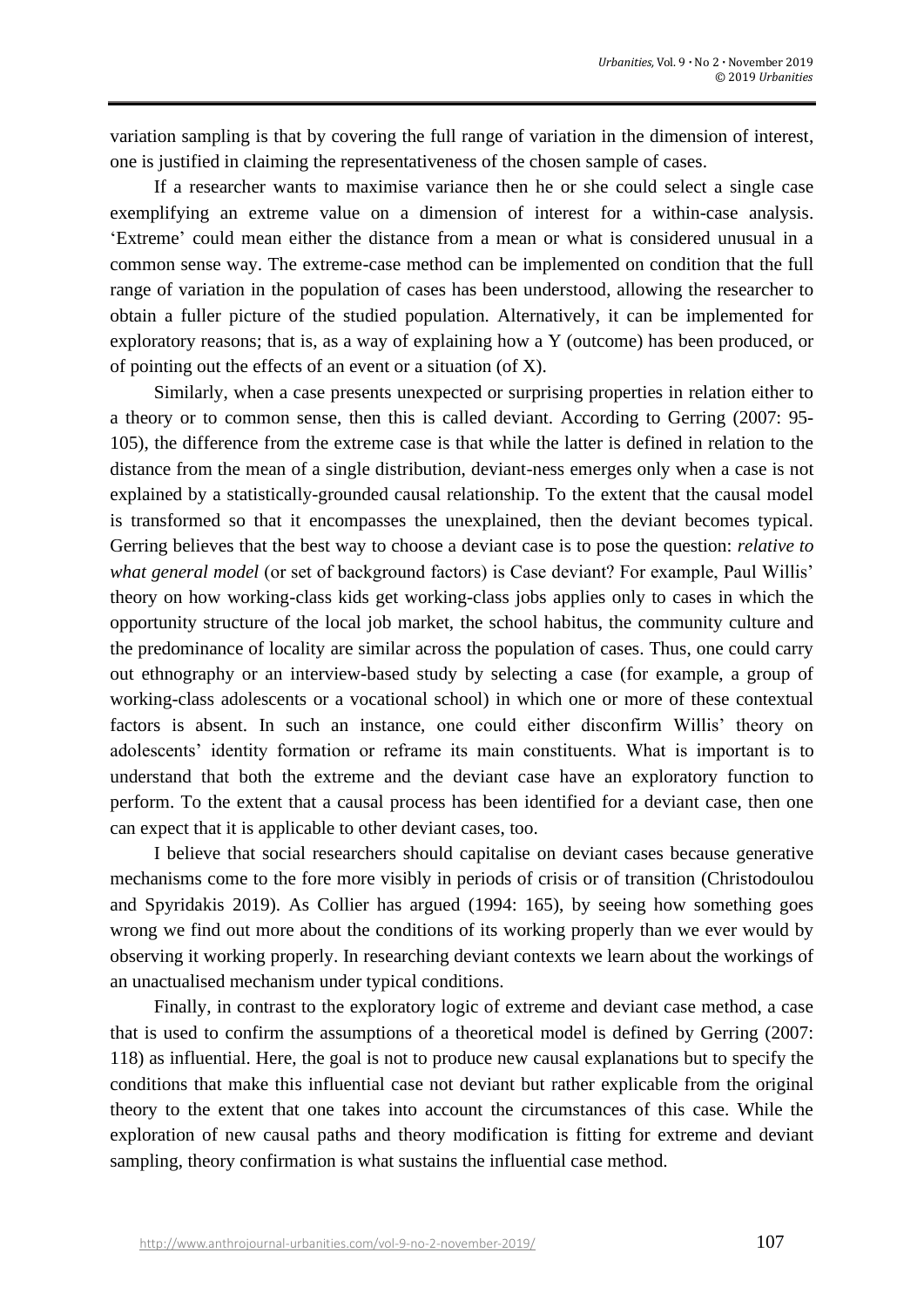variation sampling is that by covering the full range of variation in the dimension of interest, one is justified in claiming the representativeness of the chosen sample of cases.

If a researcher wants to maximise variance then he or she could select a single case exemplifying an extreme value on a dimension of interest for a within-case analysis. 'Extreme' could mean either the distance from a mean or what is considered unusual in a common sense way. The extreme-case method can be implemented on condition that the full range of variation in the population of cases has been understood, allowing the researcher to obtain a fuller picture of the studied population. Alternatively, it can be implemented for exploratory reasons; that is, as a way of explaining how a Y (outcome) has been produced, or of pointing out the effects of an event or a situation (of X).

Similarly, when a case presents unexpected or surprising properties in relation either to a theory or to common sense, then this is called deviant. According to Gerring (2007: 95- 105), the difference from the extreme case is that while the latter is defined in relation to the distance from the mean of a single distribution, deviant-ness emerges only when a case is not explained by a statistically-grounded causal relationship. To the extent that the causal model is transformed so that it encompasses the unexplained, then the deviant becomes typical. Gerring believes that the best way to choose a deviant case is to pose the question: *relative to what general model* (or set of background factors) is Case deviant? For example, Paul Willis' theory on how working-class kids get working-class jobs applies only to cases in which the opportunity structure of the local job market, the school habitus, the community culture and the predominance of locality are similar across the population of cases. Thus, one could carry out ethnography or an interview-based study by selecting a case (for example, a group of working-class adolescents or a vocational school) in which one or more of these contextual factors is absent. In such an instance, one could either disconfirm Willis' theory on adolescents' identity formation or reframe its main constituents. What is important is to understand that both the extreme and the deviant case have an exploratory function to perform. To the extent that a causal process has been identified for a deviant case, then one can expect that it is applicable to other deviant cases, too.

I believe that social researchers should capitalise on deviant cases because generative mechanisms come to the fore more visibly in periods of crisis or of transition (Christodoulou and Spyridakis 2019). As Collier has argued (1994: 165), by seeing how something goes wrong we find out more about the conditions of its working properly than we ever would by observing it working properly. In researching deviant contexts we learn about the workings of an unactualised mechanism under typical conditions.

Finally, in contrast to the exploratory logic of extreme and deviant case method, a case that is used to confirm the assumptions of a theoretical model is defined by Gerring (2007: 118) as influential. Here, the goal is not to produce new causal explanations but to specify the conditions that make this influential case not deviant but rather explicable from the original theory to the extent that one takes into account the circumstances of this case. While the exploration of new causal paths and theory modification is fitting for extreme and deviant sampling, theory confirmation is what sustains the influential case method.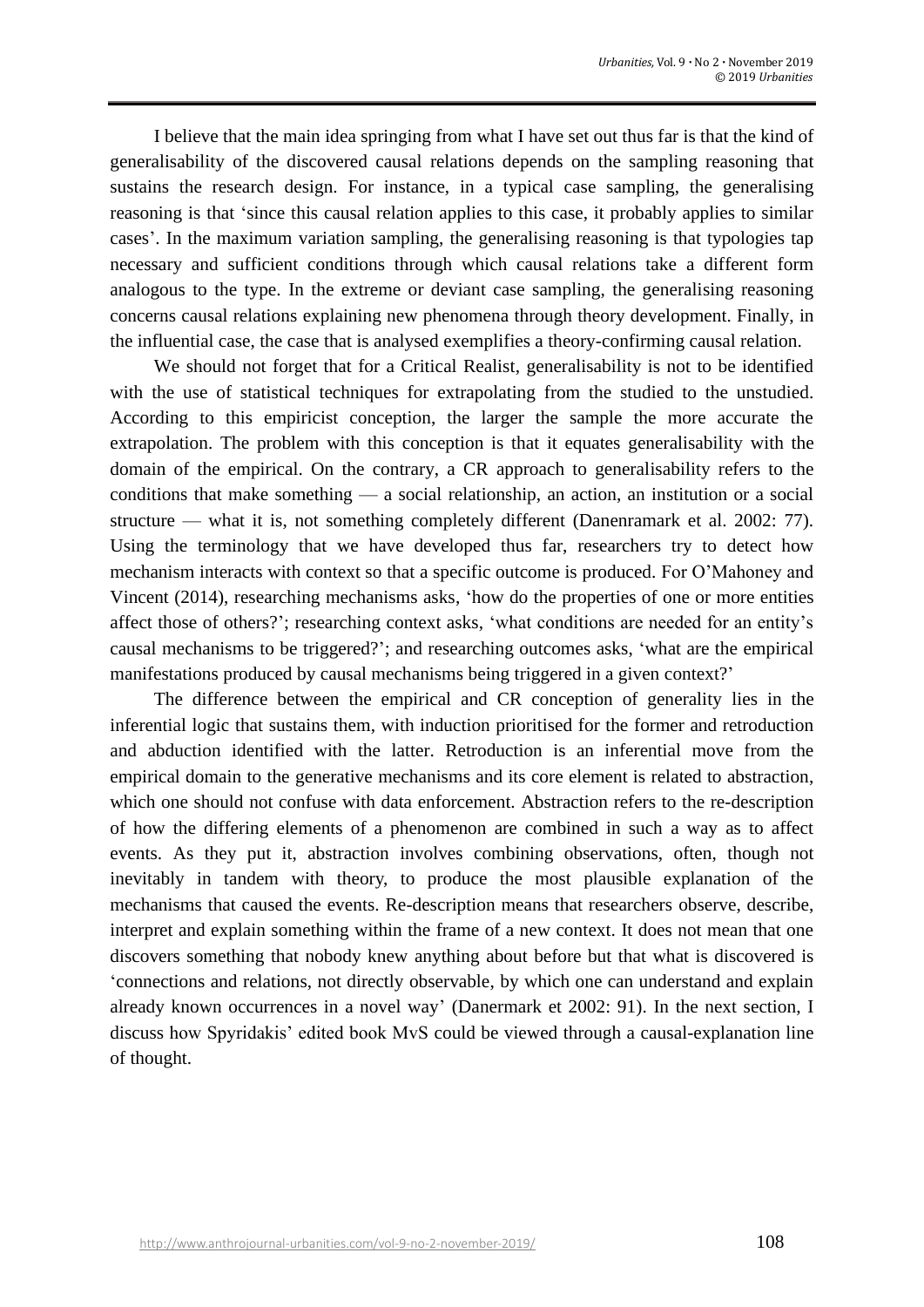I believe that the main idea springing from what I have set out thus far is that the kind of generalisability of the discovered causal relations depends on the sampling reasoning that sustains the research design. For instance, in a typical case sampling, the generalising reasoning is that 'since this causal relation applies to this case, it probably applies to similar cases'. In the maximum variation sampling, the generalising reasoning is that typologies tap necessary and sufficient conditions through which causal relations take a different form analogous to the type. In the extreme or deviant case sampling, the generalising reasoning concerns causal relations explaining new phenomena through theory development. Finally, in the influential case, the case that is analysed exemplifies a theory-confirming causal relation.

We should not forget that for a Critical Realist, generalisability is not to be identified with the use of statistical techniques for extrapolating from the studied to the unstudied. According to this empiricist conception, the larger the sample the more accurate the extrapolation. The problem with this conception is that it equates generalisability with the domain of the empirical. On the contrary, a CR approach to generalisability refers to the conditions that make something — a social relationship, an action, an institution or a social structure — what it is, not something completely different (Danenramark et al. 2002: 77). Using the terminology that we have developed thus far, researchers try to detect how mechanism interacts with context so that a specific outcome is produced. For O'Mahoney and Vincent (2014), researching mechanisms asks, 'how do the properties of one or more entities affect those of others?'; researching context asks, 'what conditions are needed for an entity's causal mechanisms to be triggered?'; and researching outcomes asks, 'what are the empirical manifestations produced by causal mechanisms being triggered in a given context?'

The difference between the empirical and CR conception of generality lies in the inferential logic that sustains them, with induction prioritised for the former and retroduction and abduction identified with the latter. Retroduction is an inferential move from the empirical domain to the generative mechanisms and its core element is related to abstraction, which one should not confuse with data enforcement. Abstraction refers to the re-description of how the differing elements of a phenomenon are combined in such a way as to affect events. As they put it, abstraction involves combining observations, often, though not inevitably in tandem with theory, to produce the most plausible explanation of the mechanisms that caused the events. Re-description means that researchers observe, describe, interpret and explain something within the frame of a new context. It does not mean that one discovers something that nobody knew anything about before but that what is discovered is 'connections and relations, not directly observable, by which one can understand and explain already known occurrences in a novel way' (Danermark et 2002: 91). In the next section, I discuss how Spyridakis' edited book MvS could be viewed through a causal-explanation line of thought.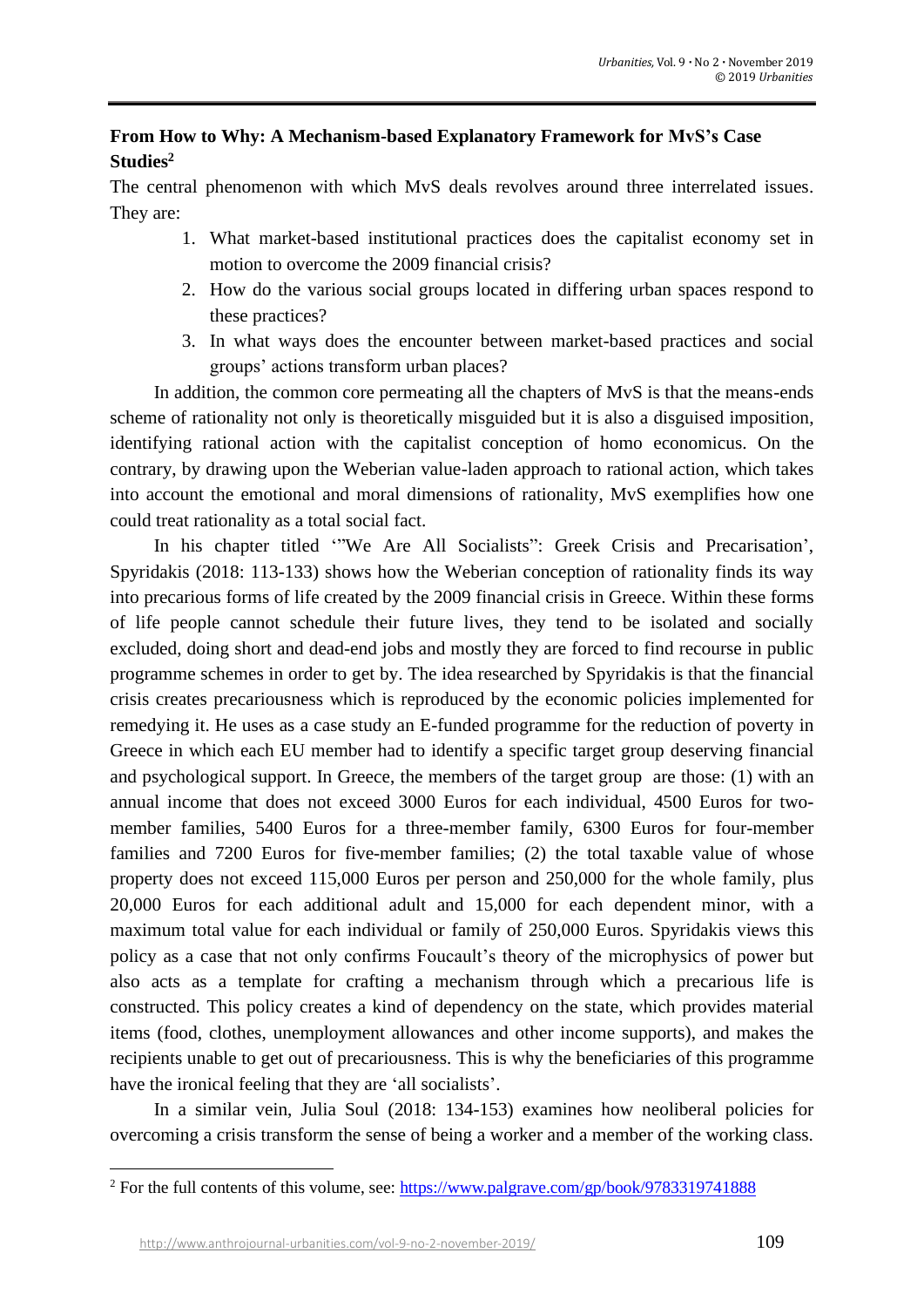# **From How to Why: A Mechanism-based Explanatory Framework for MvS's Case Studies<sup>2</sup>**

The central phenomenon with which MvS deals revolves around three interrelated issues. They are:

- 1. What market-based institutional practices does the capitalist economy set in motion to overcome the 2009 financial crisis?
- 2. How do the various social groups located in differing urban spaces respond to these practices?
- 3. In what ways does the encounter between market-based practices and social groups' actions transform urban places?

In addition, the common core permeating all the chapters of MvS is that the means-ends scheme of rationality not only is theoretically misguided but it is also a disguised imposition, identifying rational action with the capitalist conception of homo economicus. On the contrary, by drawing upon the Weberian value-laden approach to rational action, which takes into account the emotional and moral dimensions of rationality, MvS exemplifies how one could treat rationality as a total social fact.

In his chapter titled '"We Are All Socialists": Greek Crisis and Precarisation', Spyridakis (2018: 113-133) shows how the Weberian conception of rationality finds its way into precarious forms of life created by the 2009 financial crisis in Greece. Within these forms of life people cannot schedule their future lives, they tend to be isolated and socially excluded, doing short and dead-end jobs and mostly they are forced to find recourse in public programme schemes in order to get by. The idea researched by Spyridakis is that the financial crisis creates precariousness which is reproduced by the economic policies implemented for remedying it. He uses as a case study an E-funded programme for the reduction of poverty in Greece in which each EU member had to identify a specific target group deserving financial and psychological support. In Greece, the members of the target group are those: (1) with an annual income that does not exceed 3000 Euros for each individual, 4500 Euros for twomember families, 5400 Euros for a three-member family, 6300 Euros for four-member families and 7200 Euros for five-member families; (2) the total taxable value of whose property does not exceed 115,000 Euros per person and 250,000 for the whole family, plus 20,000 Euros for each additional adult and 15,000 for each dependent minor, with a maximum total value for each individual or family of 250,000 Euros. Spyridakis views this policy as a case that not only confirms Foucault's theory of the microphysics of power but also acts as a template for crafting a mechanism through which a precarious life is constructed. This policy creates a kind of dependency on the state, which provides material items (food, clothes, unemployment allowances and other income supports), and makes the recipients unable to get out of precariousness. This is why the beneficiaries of this programme have the ironical feeling that they are 'all socialists'.

In a similar vein, Julia Soul (2018: 134-153) examines how neoliberal policies for overcoming a crisis transform the sense of being a worker and a member of the working class.

<sup>&</sup>lt;sup>2</sup> For the full contents of this volume, see:<https://www.palgrave.com/gp/book/9783319741888>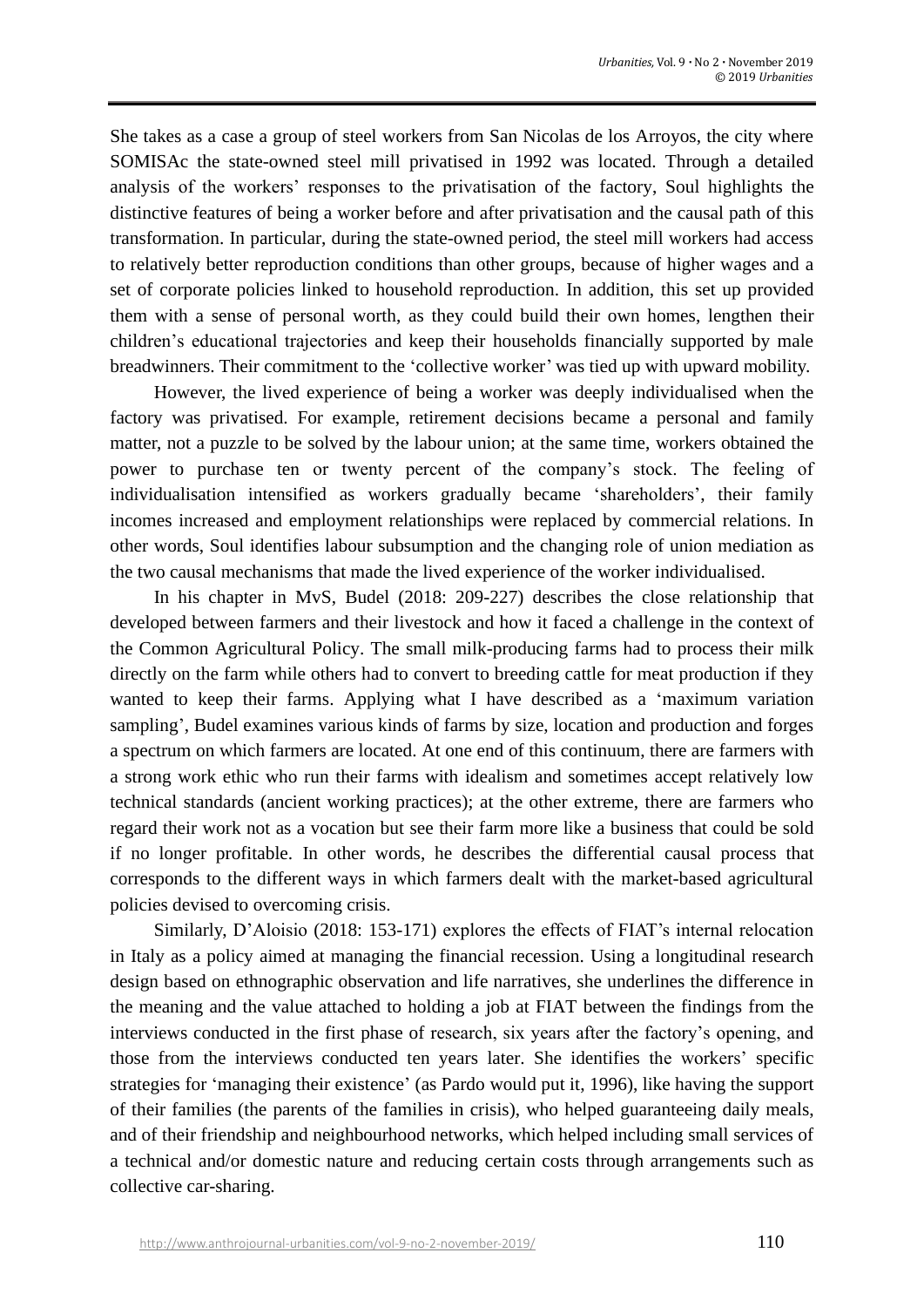She takes as a case a group of steel workers from San Nicolas de los Arroyos, the city where SOMISAc the state-owned steel mill privatised in 1992 was located. Through a detailed analysis of the workers' responses to the privatisation of the factory, Soul highlights the distinctive features of being a worker before and after privatisation and the causal path of this transformation. In particular, during the state-owned period, the steel mill workers had access to relatively better reproduction conditions than other groups, because of higher wages and a set of corporate policies linked to household reproduction. In addition, this set up provided them with a sense of personal worth, as they could build their own homes, lengthen their children's educational trajectories and keep their households financially supported by male breadwinners. Their commitment to the 'collective worker' was tied up with upward mobility.

However, the lived experience of being a worker was deeply individualised when the factory was privatised. For example, retirement decisions became a personal and family matter, not a puzzle to be solved by the labour union; at the same time, workers obtained the power to purchase ten or twenty percent of the company's stock. The feeling of individualisation intensified as workers gradually became 'shareholders', their family incomes increased and employment relationships were replaced by commercial relations. In other words, Soul identifies labour subsumption and the changing role of union mediation as the two causal mechanisms that made the lived experience of the worker individualised.

In his chapter in MvS, Budel (2018: 209-227) describes the close relationship that developed between farmers and their livestock and how it faced a challenge in the context of the Common Agricultural Policy. The small milk-producing farms had to process their milk directly on the farm while others had to convert to breeding cattle for meat production if they wanted to keep their farms. Applying what I have described as a 'maximum variation sampling', Budel examines various kinds of farms by size, location and production and forges a spectrum on which farmers are located. At one end of this continuum, there are farmers with a strong work ethic who run their farms with idealism and sometimes accept relatively low technical standards (ancient working practices); at the other extreme, there are farmers who regard their work not as a vocation but see their farm more like a business that could be sold if no longer profitable. In other words, he describes the differential causal process that corresponds to the different ways in which farmers dealt with the market-based agricultural policies devised to overcoming crisis.

Similarly, D'Aloisio (2018: 153-171) explores the effects of FIAT's internal relocation in Italy as a policy aimed at managing the financial recession. Using a longitudinal research design based on ethnographic observation and life narratives, she underlines the difference in the meaning and the value attached to holding a job at FIAT between the findings from the interviews conducted in the first phase of research, six years after the factory's opening, and those from the interviews conducted ten years later. She identifies the workers' specific strategies for 'managing their existence' (as Pardo would put it, 1996), like having the support of their families (the parents of the families in crisis), who helped guaranteeing daily meals, and of their friendship and neighbourhood networks, which helped including small services of a technical and/or domestic nature and reducing certain costs through arrangements such as collective car-sharing.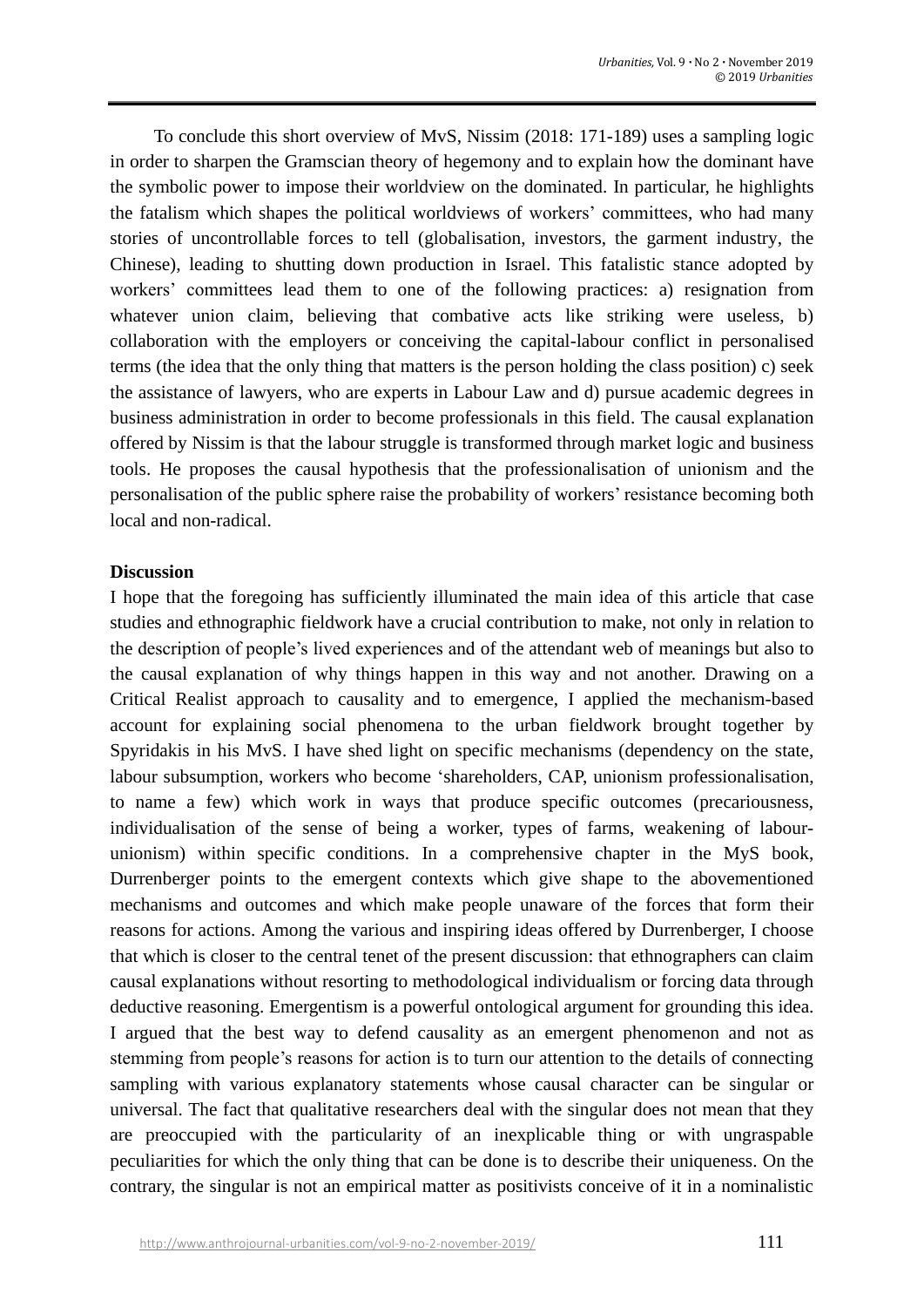To conclude this short overview of MvS, Nissim (2018: 171-189) uses a sampling logic in order to sharpen the Gramscian theory of hegemony and to explain how the dominant have the symbolic power to impose their worldview on the dominated. In particular, he highlights the fatalism which shapes the political worldviews of workers' committees, who had many stories of uncontrollable forces to tell (globalisation, investors, the garment industry, the Chinese), leading to shutting down production in Israel. This fatalistic stance adopted by workers' committees lead them to one of the following practices: a) resignation from whatever union claim, believing that combative acts like striking were useless, b) collaboration with the employers or conceiving the capital-labour conflict in personalised terms (the idea that the only thing that matters is the person holding the class position) c) seek the assistance of lawyers, who are experts in Labour Law and d) pursue academic degrees in business administration in order to become professionals in this field. The causal explanation offered by Nissim is that the labour struggle is transformed through market logic and business tools. He proposes the causal hypothesis that the professionalisation of unionism and the personalisation of the public sphere raise the probability of workers' resistance becoming both local and non-radical.

#### **Discussion**

I hope that the foregoing has sufficiently illuminated the main idea of this article that case studies and ethnographic fieldwork have a crucial contribution to make, not only in relation to the description of people's lived experiences and of the attendant web of meanings but also to the causal explanation of why things happen in this way and not another. Drawing on a Critical Realist approach to causality and to emergence, I applied the mechanism-based account for explaining social phenomena to the urban fieldwork brought together by Spyridakis in his MvS. I have shed light on specific mechanisms (dependency on the state, labour subsumption, workers who become 'shareholders, CAP, unionism professionalisation, to name a few) which work in ways that produce specific outcomes (precariousness, individualisation of the sense of being a worker, types of farms, weakening of labourunionism) within specific conditions. In a comprehensive chapter in the MyS book, Durrenberger points to the emergent contexts which give shape to the abovementioned mechanisms and outcomes and which make people unaware of the forces that form their reasons for actions. Among the various and inspiring ideas offered by Durrenberger, I choose that which is closer to the central tenet of the present discussion: that ethnographers can claim causal explanations without resorting to methodological individualism or forcing data through deductive reasoning. Emergentism is a powerful ontological argument for grounding this idea. I argued that the best way to defend causality as an emergent phenomenon and not as stemming from people's reasons for action is to turn our attention to the details of connecting sampling with various explanatory statements whose causal character can be singular or universal. The fact that qualitative researchers deal with the singular does not mean that they are preoccupied with the particularity of an inexplicable thing or with ungraspable peculiarities for which the only thing that can be done is to describe their uniqueness. On the contrary, the singular is not an empirical matter as positivists conceive of it in a nominalistic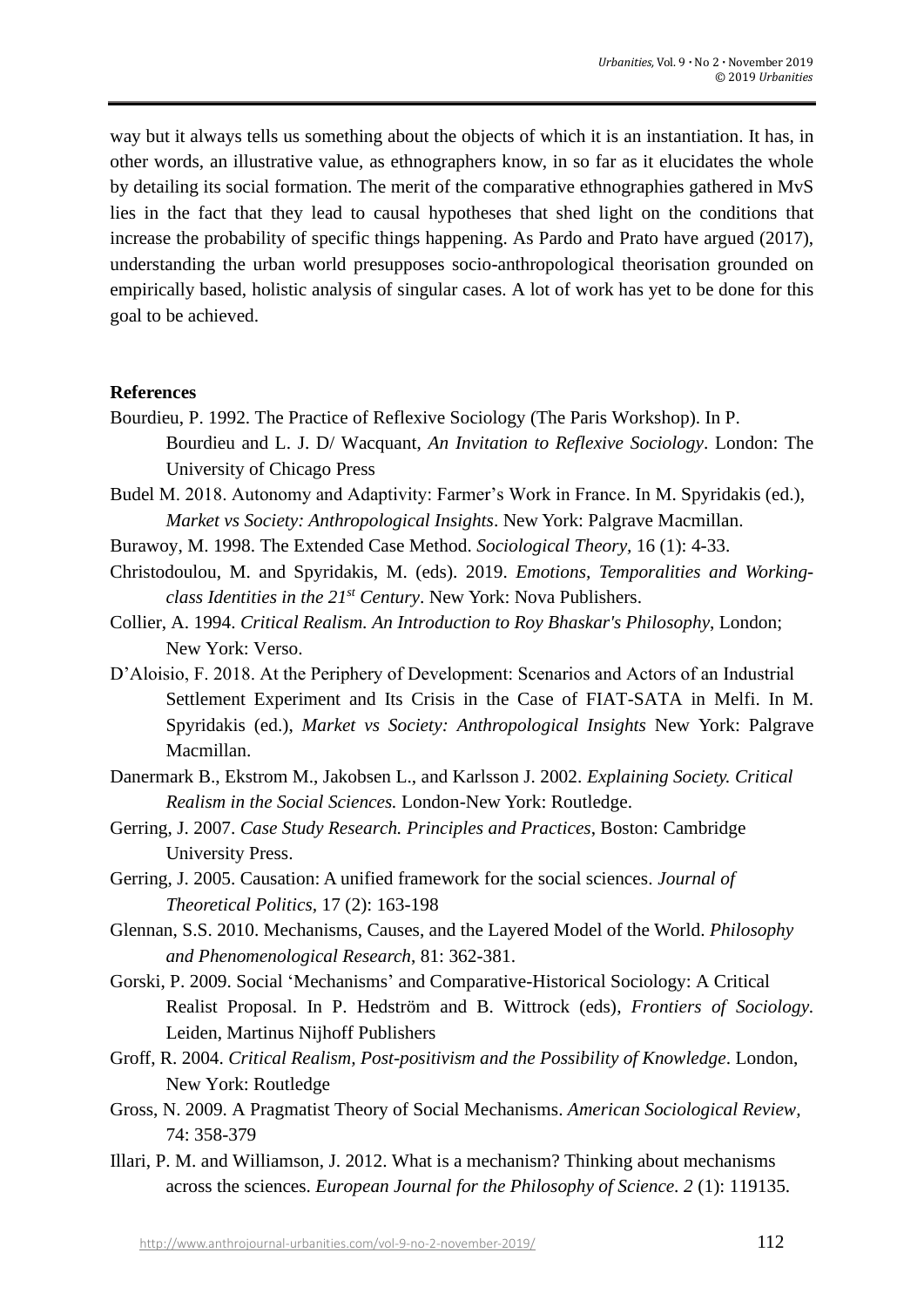way but it always tells us something about the objects of which it is an instantiation. It has, in other words, an illustrative value, as ethnographers know, in so far as it elucidates the whole by detailing its social formation. The merit of the comparative ethnographies gathered in MvS lies in the fact that they lead to causal hypotheses that shed light on the conditions that increase the probability of specific things happening. As Pardo and Prato have argued (2017), understanding the urban world presupposes socio-anthropological theorisation grounded on empirically based, holistic analysis of singular cases. A lot of work has yet to be done for this goal to be achieved.

#### **References**

- Bourdieu, P. 1992. The Practice of Reflexive Sociology (The Paris Workshop). In P. Bourdieu and L. J. D/ Wacquant, *An Invitation to Reflexive Sociology*. London: The University of Chicago Press
- Budel M. 2018. Autonomy and Adaptivity: Farmer's Work in France. In M. Spyridakis (ed.), *Market vs Society: Anthropological Insights*. New York: Palgrave Macmillan.
- Burawoy, M. 1998. The Extended Case Method. *Sociological Theory,* 16 (1): 4-33.
- Christodoulou, M. and Spyridakis, M. (eds). 2019. *Emotions, Temporalities and Workingclass Identities in the 21st Century*. New York: Nova Publishers.
- Collier, A. 1994. *Critical Realism. An Introduction to Roy Bhaskar's Philosophy*, London; New York: Verso.
- D'Aloisio, F. 2018. At the Periphery of Development: Scenarios and Actors of an Industrial Settlement Experiment and Its Crisis in the Case of FIAT-SATA in Melfi. In M. Spyridakis (ed.), *Market vs Society: Anthropological Insights* New York: Palgrave Macmillan.
- Danermark B., Ekstrom M., Jakobsen L., and Karlsson J. 2002. *Explaining Society. Critical Realism in the Social Sciences.* London-New York: Routledge.
- Gerring, J. 2007. *Case Study Research. Principles and Practices*, Boston: Cambridge University Press.
- Gerring, J. 2005. Causation: A unified framework for the social sciences. *Journal of Theoretical Politics,* 17 (2): 163-198
- Glennan, S.S. 2010. Mechanisms, Causes, and the Layered Model of the World. *Philosophy and Phenomenological Research*, 81: 362-381.
- Gorski, P. 2009. Social 'Mechanisms' and Comparative-Historical Sociology: A Critical Realist Proposal. In P. Hedström and B. Wittrock (eds), *Frontiers of Sociology.* Leiden, Martinus Nijhoff Publishers
- Groff, R. 2004. *Critical Realism, Post-positivism and the Possibility of Knowledge*. London, New York: Routledge
- Gross, N. 2009. A Pragmatist Theory of Social Mechanisms. *American Sociological Review,*  74: 358-379
- Illari, P. M. and Williamson, J. 2012. What is a mechanism? Thinking about mechanisms across the sciences. *European Journal for the Philosophy of Science. 2* (1): 119135.